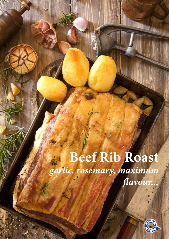# **Beef Rib Roast** *garlic, rosemary, maximum flavour...*



**Daniel Adams**